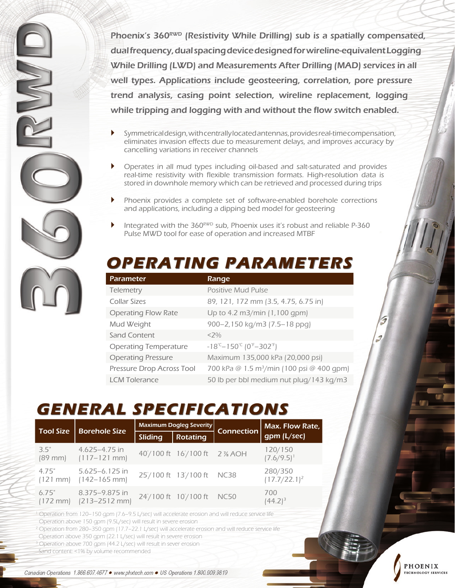Phoenix's 360<sup>RWD</sup> (Resistivity While Drilling) sub is a spatially compensated, dual frequency, dual spacing device designed for wireline-equivalent Logging While Drilling (LWD) and Measurements After Drilling (MAD) services in all well types. Applications include geosteering, correlation, pore pressure trend analysis, casing point selection, wireline replacement, logging while tripping and logging with and without the flow switch enabled.

- $\blacktriangleright$  Symmetrical design, with centrally located antennas, provides real-time compensation, eliminates invasion effects due to measurement delays, and improves accuracy by cancelling variations in receiver channels
- ` Operates in all mud types including oil-based and salt-saturated and provides real-time resistivity with flexible transmission formats. High-resolution data is stored in downhole memory which can be retrieved and processed during trips
- Phoenix provides a complete set of software-enabled borehole corrections and applications, including a dipping bed model for geosteering
- Integrated with the  $360<sup>RWD</sup>$  sub, Phoenix uses it's robust and reliable P-360 Pulse MWD tool for ease of operation and increased MTBF

### **OPERATING PARAMETERS**

| <b>Parameter</b>             | Range                                                                  |
|------------------------------|------------------------------------------------------------------------|
| Telemetry                    | <b>Positive Mud Pulse</b>                                              |
| Collar Sizes                 | 89, 121, 172 mm (3.5, 4.75, 6.75 in)                                   |
| <b>Operating Flow Rate</b>   | Up to 4.2 m3/min (1,100 gpm)                                           |
| Mud Weight                   | 900-2,150 kg/m3 (7.5-18 ppg)                                           |
| Sand Content                 | $<$ 7%                                                                 |
| <b>Operating Temperature</b> | $-18^{\degree}$ – 150 $^{\degree}$ (0 $^{\degree}$ –302 $^{\degree}$ ) |
| <b>Operating Pressure</b>    | Maximum 135,000 kPa (20,000 psi)                                       |
| Pressure Drop Across Tool    | 700 kPa @ 1.5 m <sup>3</sup> /min (100 psi @ 400 qpm)                  |
| <b>LCM Tolerance</b>         | 50 lb per bbl medium nut plug/143 kg/m3                                |

PHOENIX

**ECHNOLOGY SERVICES** 

# **GENERAL SPECIFICATIONS**

| <b>Tool Size</b>            | <b>Borehole Size</b>                                            | <b>Maximum Dogleg Severity</b> |                             | Connection | Max. Flow Rate,            |
|-----------------------------|-----------------------------------------------------------------|--------------------------------|-----------------------------|------------|----------------------------|
|                             |                                                                 | Sliding                        | <b>Rotating</b>             |            | gpm (L/sec)                |
| 35"                         | $4.625 - 4.75$ in<br>$(89 \text{ mm})$ $(117-121 \text{ mm})$   |                                | 40/100 ft 16/100 ft 2 % AOH |            | 120/150<br>$(7.6/9.5)^{1}$ |
| 4.75"                       | $5.625 - 6.125$ in<br>$(121 \text{ mm})$ $(142-165 \text{ mm})$ |                                | 25/100 ft 13/100 ft NC38    |            | 280/350<br>$(17.7/22.1)^2$ |
| 6.75"<br>$(172 \text{ mm})$ | 8.375-9.875 in<br>$[213 - 2512$ mm                              |                                | 24'/100 ft 10'/100 ft NC50  |            | 700<br>$(44.2)^3$          |

1 Operation from 120–150 gpm (7.6–9.5 L/sec) will accelerate erosion and will reduce service life Operation above 150 gpm (9.5L/sec) will result in severe erosion

<sup>2</sup> Operation from 280–350 gpm (17.7–22.1 L/sec) will accelerate erosion and will reduce service life

Operation above 350 gpm (22.1 L/sec) will result in severe erosion

3 Operation above 700 gpm (44.2 L/sec) will result in sever erosion

Sand content: <1% by volume recommended

UVVI

Canadian Operations 1.866.607.4677 · www.phxtech.com · US Operations 1.800.909.9819